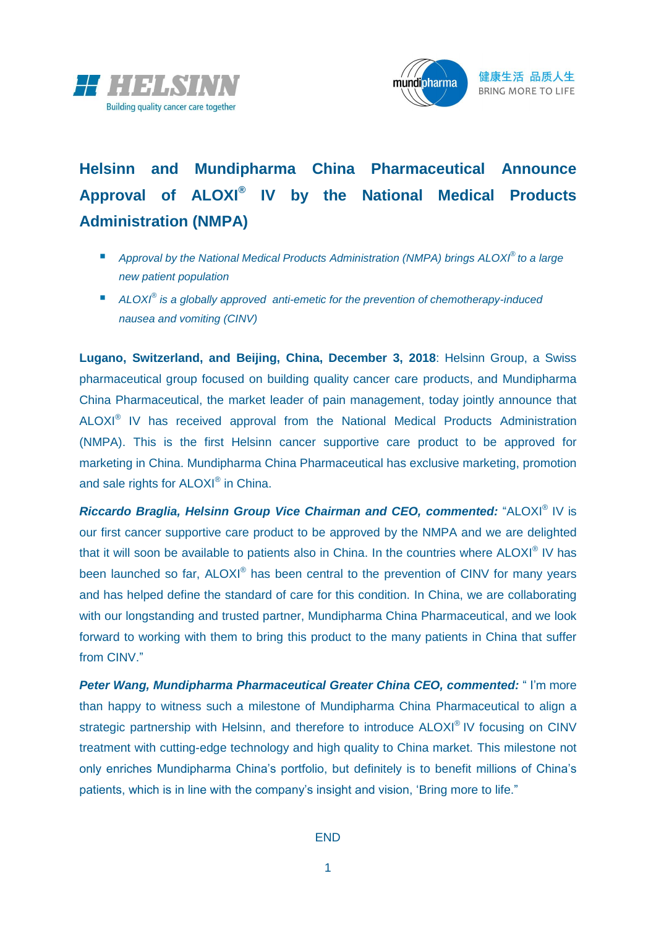



# **Helsinn and Mundipharma China Pharmaceutical Announce Approval of IV by the National Medical Products Administration (NMPA)**

- *Approval by the National Medical Products Administration (NMPA) brings ALOXI<sup>®</sup> to a large new patient population*
- ALOXI<sup>®</sup> is a globally approved anti-emetic for the prevention of chemotherapy-induced *nausea and vomiting (CINV)*

**Lugano, Switzerland, and Beijing, China, December 3, 2018**: Helsinn Group, a Swiss pharmaceutical group focused on building quality cancer care products, and Mundipharma China Pharmaceutical, the market leader of pain management, today jointly announce that ALOXI® IV has received approval from the National Medical Products Administration (NMPA). This is the first Helsinn cancer supportive care product to be approved for marketing in China. Mundipharma China Pharmaceutical has exclusive marketing, promotion and sale rights for ALOXI® in China.

Riccardo Braglia, Helsinn Group Vice Chairman and CEO, commented: "ALOXI<sup>®</sup> IV is our first cancer supportive care product to be approved by the NMPA and we are delighted that it will soon be available to patients also in China. In the countries where ALOXI<sup>®</sup> IV has been launched so far, ALOXI® has been central to the prevention of CINV for many years and has helped define the standard of care for this condition. In China, we are collaborating with our longstanding and trusted partner, Mundipharma China Pharmaceutical, and we look forward to working with them to bring this product to the many patients in China that suffer from CINV."

*Peter Wang, Mundipharma Pharmaceutical Greater China CEO, commented:* " I'm more than happy to witness such a milestone of Mundipharma China Pharmaceutical to align a strategic partnership with Helsinn, and therefore to introduce ALOXI<sup>®</sup> IV focusing on CINV treatment with cutting-edge technology and high quality to China market. This milestone not only enriches Mundipharma China's portfolio, but definitely is to benefit millions of China's patients, which is in line with the company's insight and vision, 'Bring more to life."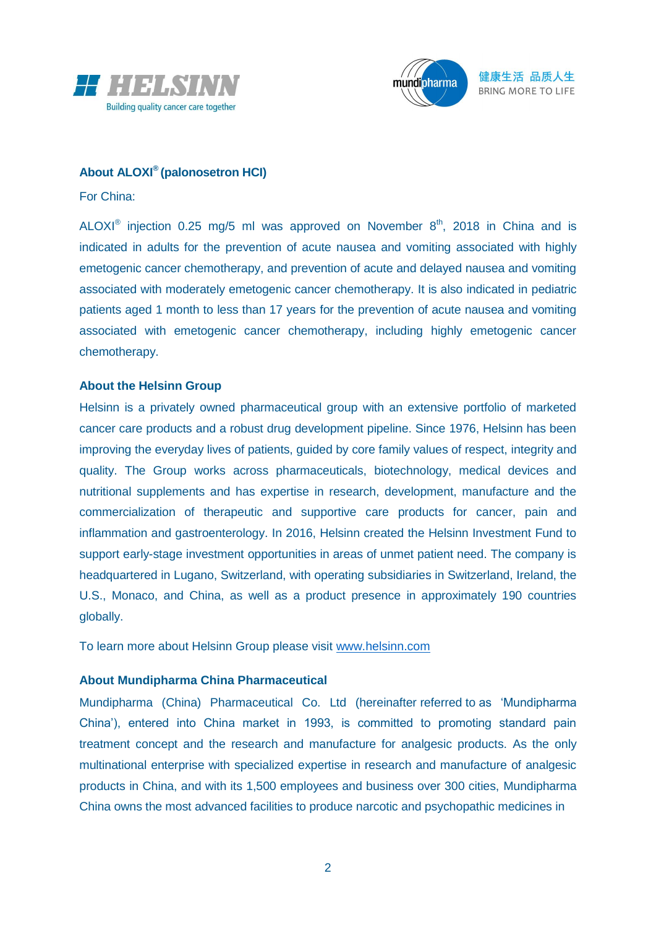



## **About ALOXI® (palonosetron HCI)**

For China:

ALOXI<sup>®</sup> injection 0.25 mg/5 ml was approved on November  $8<sup>th</sup>$ , 2018 in China and is indicated in adults for the prevention of acute nausea and vomiting associated with highly emetogenic cancer chemotherapy, and prevention of acute and delayed nausea and vomiting associated with moderately emetogenic cancer chemotherapy. It is also indicated in pediatric patients aged 1 month to less than 17 years for the prevention of acute nausea and vomiting associated with emetogenic cancer chemotherapy, including highly emetogenic cancer chemotherapy.

## **About the Helsinn Group**

Helsinn is a privately owned pharmaceutical group with an extensive portfolio of marketed cancer care products and a robust drug development pipeline. Since 1976, Helsinn has been improving the everyday lives of patients, guided by core family values of respect, integrity and quality. The Group works across pharmaceuticals, biotechnology, medical devices and nutritional supplements and has expertise in research, development, manufacture and the commercialization of therapeutic and supportive care products for cancer, pain and inflammation and gastroenterology. In 2016, Helsinn created the Helsinn Investment Fund to support early-stage investment opportunities in areas of unmet patient need. The company is headquartered in Lugano, Switzerland, with operating subsidiaries in Switzerland, Ireland, the U.S., Monaco, and China, as well as a product presence in approximately 190 countries globally.

To learn more about Helsinn Group please visit [www.helsinn.com](http://www.helsinn.com/)

## **About Mundipharma China Pharmaceutical**

Mundipharma (China) Pharmaceutical Co. Ltd (hereinafter referred to as 'Mundipharma China'), entered into China market in 1993, is committed to promoting standard pain treatment concept and the research and manufacture for analgesic products. As the only multinational enterprise with specialized expertise in research and manufacture of analgesic products in China, and with its 1,500 employees and business over 300 cities, Mundipharma China owns the most advanced facilities to produce narcotic and psychopathic medicines in